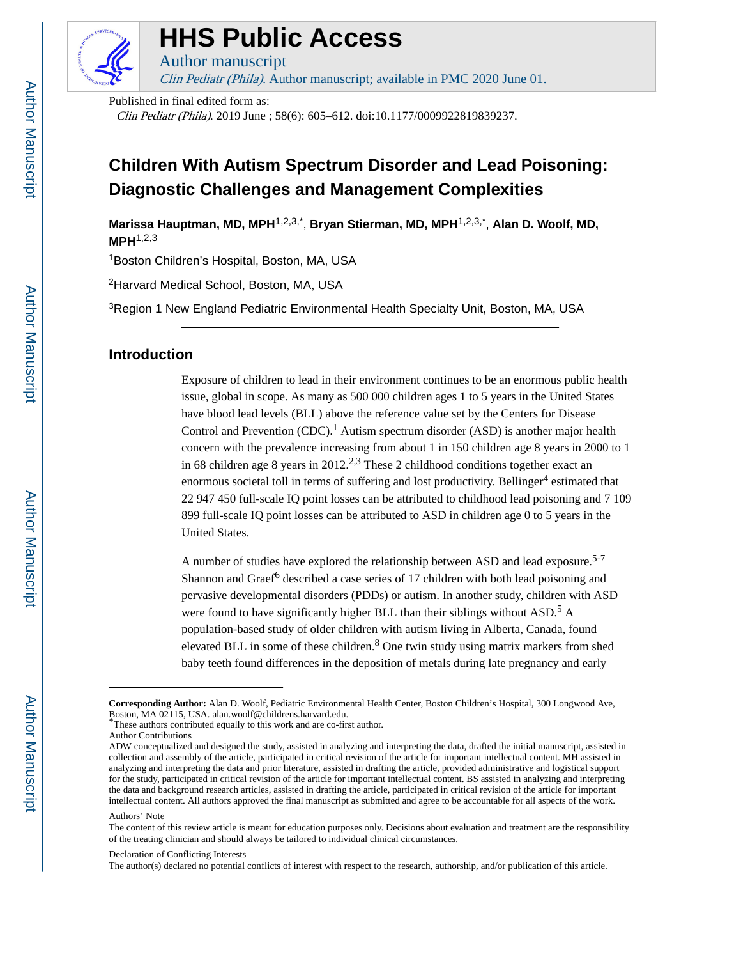

## **HHS Public Access**

Author manuscript Clin Pediatr (Phila). Author manuscript; available in PMC 2020 June 01.

Published in final edited form as:

Clin Pediatr (Phila). 2019 June ; 58(6): 605–612. doi:10.1177/0009922819839237.

### **Children With Autism Spectrum Disorder and Lead Poisoning: Diagnostic Challenges and Management Complexities**

**Marissa Hauptman, MD, MPH**1,2,3,\* , **Bryan Stierman, MD, MPH**1,2,3,\* , **Alan D. Woolf, MD, MPH**1,2,3

<sup>1</sup>Boston Children's Hospital, Boston, MA, USA

<sup>2</sup>Harvard Medical School, Boston, MA, USA

<sup>3</sup>Region 1 New England Pediatric Environmental Health Specialty Unit, Boston, MA, USA

#### **Introduction**

Exposure of children to lead in their environment continues to be an enormous public health issue, global in scope. As many as 500 000 children ages 1 to 5 years in the United States have blood lead levels (BLL) above the reference value set by the Centers for Disease Control and Prevention (CDC).<sup>1</sup> Autism spectrum disorder (ASD) is another major health concern with the prevalence increasing from about 1 in 150 children age 8 years in 2000 to 1 in 68 children age 8 years in  $2012<sup>2,3</sup>$  These 2 childhood conditions together exact an enormous societal toll in terms of suffering and lost productivity. Bellinger<sup>4</sup> estimated that 22 947 450 full-scale IQ point losses can be attributed to childhood lead poisoning and 7 109 899 full-scale IQ point losses can be attributed to ASD in children age 0 to 5 years in the United States.

A number of studies have explored the relationship between ASD and lead exposure.5-7 Shannon and Graef<sup>6</sup> described a case series of 17 children with both lead poisoning and pervasive developmental disorders (PDDs) or autism. In another study, children with ASD were found to have significantly higher BLL than their siblings without ASD.<sup>5</sup> A population-based study of older children with autism living in Alberta, Canada, found elevated BLL in some of these children.<sup>8</sup> One twin study using matrix markers from shed baby teeth found differences in the deposition of metals during late pregnancy and early

#### Authors' Note

The content of this review article is meant for education purposes only. Decisions about evaluation and treatment are the responsibility of the treating clinician and should always be tailored to individual clinical circumstances.

Declaration of Conflicting Interests

**Corresponding Author:** Alan D. Woolf, Pediatric Environmental Health Center, Boston Children's Hospital, 300 Longwood Ave, Boston, MA 02115, USA. alan.woolf@childrens.harvard.edu.

These authors contributed equally to this work and are co-first author.

Author Contributions

ADW conceptualized and designed the study, assisted in analyzing and interpreting the data, drafted the initial manuscript, assisted in collection and assembly of the article, participated in critical revision of the article for important intellectual content. MH assisted in analyzing and interpreting the data and prior literature, assisted in drafting the article, provided administrative and logistical support for the study, participated in critical revision of the article for important intellectual content. BS assisted in analyzing and interpreting the data and background research articles, assisted in drafting the article, participated in critical revision of the article for important intellectual content. All authors approved the final manuscript as submitted and agree to be accountable for all aspects of the work.

The author(s) declared no potential conflicts of interest with respect to the research, authorship, and/or publication of this article.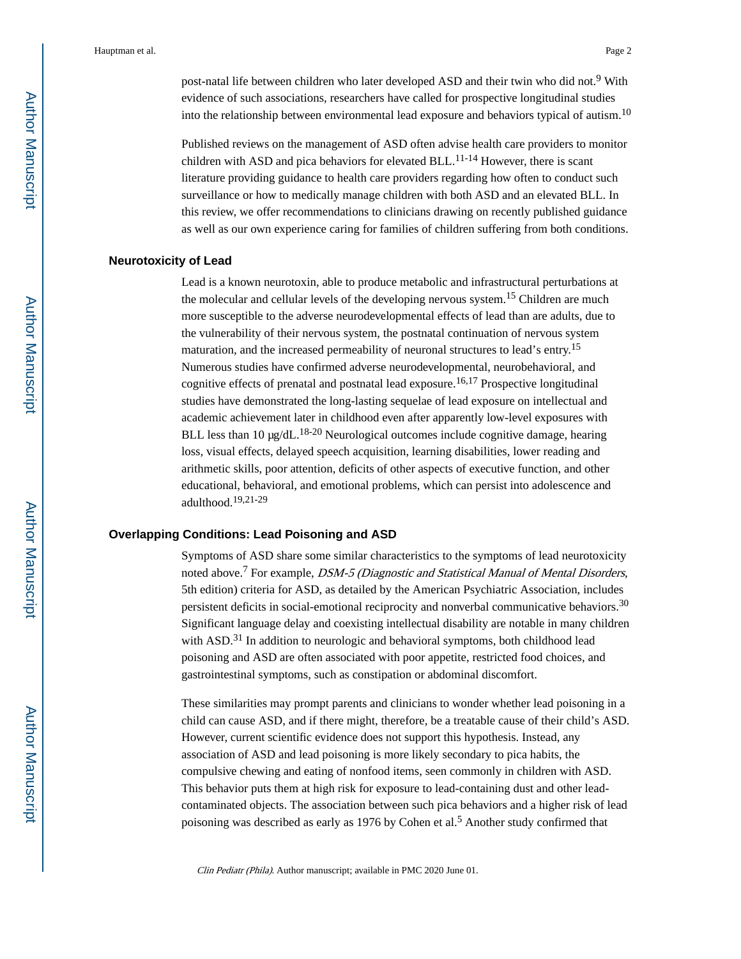Hauptman et al. Page 2

post-natal life between children who later developed ASD and their twin who did not.<sup>9</sup> With evidence of such associations, researchers have called for prospective longitudinal studies into the relationship between environmental lead exposure and behaviors typical of autism.<sup>10</sup>

Published reviews on the management of ASD often advise health care providers to monitor children with ASD and pica behaviors for elevated  $BLL$ .<sup>11-14</sup> However, there is scant literature providing guidance to health care providers regarding how often to conduct such surveillance or how to medically manage children with both ASD and an elevated BLL. In this review, we offer recommendations to clinicians drawing on recently published guidance as well as our own experience caring for families of children suffering from both conditions.

#### **Neurotoxicity of Lead**

Lead is a known neurotoxin, able to produce metabolic and infrastructural perturbations at the molecular and cellular levels of the developing nervous system.<sup>15</sup> Children are much more susceptible to the adverse neurodevelopmental effects of lead than are adults, due to the vulnerability of their nervous system, the postnatal continuation of nervous system maturation, and the increased permeability of neuronal structures to lead's entry.<sup>15</sup> Numerous studies have confirmed adverse neurodevelopmental, neurobehavioral, and cognitive effects of prenatal and postnatal lead exposure.<sup>16,17</sup> Prospective longitudinal studies have demonstrated the long-lasting sequelae of lead exposure on intellectual and academic achievement later in childhood even after apparently low-level exposures with BLL less than 10  $\mu$ g/dL.<sup>18-20</sup> Neurological outcomes include cognitive damage, hearing loss, visual effects, delayed speech acquisition, learning disabilities, lower reading and arithmetic skills, poor attention, deficits of other aspects of executive function, and other educational, behavioral, and emotional problems, which can persist into adolescence and adulthood.19,21-29

#### **Overlapping Conditions: Lead Poisoning and ASD**

Symptoms of ASD share some similar characteristics to the symptoms of lead neurotoxicity noted above.<sup>7</sup> For example, *DSM-5 (Diagnostic and Statistical Manual of Mental Disorders*, 5th edition) criteria for ASD, as detailed by the American Psychiatric Association, includes persistent deficits in social-emotional reciprocity and nonverbal communicative behaviors.<sup>30</sup> Significant language delay and coexisting intellectual disability are notable in many children with ASD.<sup>31</sup> In addition to neurologic and behavioral symptoms, both childhood lead poisoning and ASD are often associated with poor appetite, restricted food choices, and gastrointestinal symptoms, such as constipation or abdominal discomfort.

These similarities may prompt parents and clinicians to wonder whether lead poisoning in a child can cause ASD, and if there might, therefore, be a treatable cause of their child's ASD. However, current scientific evidence does not support this hypothesis. Instead, any association of ASD and lead poisoning is more likely secondary to pica habits, the compulsive chewing and eating of nonfood items, seen commonly in children with ASD. This behavior puts them at high risk for exposure to lead-containing dust and other leadcontaminated objects. The association between such pica behaviors and a higher risk of lead poisoning was described as early as 1976 by Cohen et al.<sup>5</sup> Another study confirmed that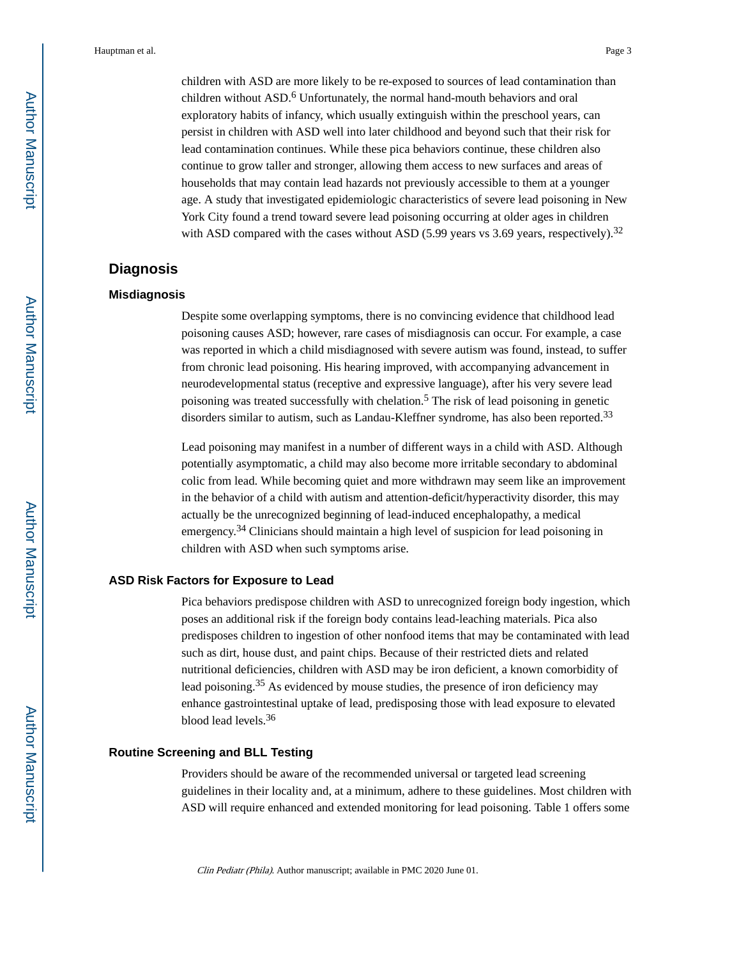children with ASD are more likely to be re-exposed to sources of lead contamination than children without ASD.<sup>6</sup> Unfortunately, the normal hand-mouth behaviors and oral exploratory habits of infancy, which usually extinguish within the preschool years, can persist in children with ASD well into later childhood and beyond such that their risk for lead contamination continues. While these pica behaviors continue, these children also continue to grow taller and stronger, allowing them access to new surfaces and areas of households that may contain lead hazards not previously accessible to them at a younger age. A study that investigated epidemiologic characteristics of severe lead poisoning in New York City found a trend toward severe lead poisoning occurring at older ages in children with ASD compared with the cases without ASD (5.99 years vs 3.69 years, respectively).<sup>32</sup>

#### **Diagnosis**

#### **Misdiagnosis**

Despite some overlapping symptoms, there is no convincing evidence that childhood lead poisoning causes ASD; however, rare cases of misdiagnosis can occur. For example, a case was reported in which a child misdiagnosed with severe autism was found, instead, to suffer from chronic lead poisoning. His hearing improved, with accompanying advancement in neurodevelopmental status (receptive and expressive language), after his very severe lead poisoning was treated successfully with chelation.<sup>5</sup> The risk of lead poisoning in genetic disorders similar to autism, such as Landau-Kleffner syndrome, has also been reported.<sup>33</sup>

Lead poisoning may manifest in a number of different ways in a child with ASD. Although potentially asymptomatic, a child may also become more irritable secondary to abdominal colic from lead. While becoming quiet and more withdrawn may seem like an improvement in the behavior of a child with autism and attention-deficit/hyperactivity disorder, this may actually be the unrecognized beginning of lead-induced encephalopathy, a medical emergency.34 Clinicians should maintain a high level of suspicion for lead poisoning in children with ASD when such symptoms arise.

#### **ASD Risk Factors for Exposure to Lead**

Pica behaviors predispose children with ASD to unrecognized foreign body ingestion, which poses an additional risk if the foreign body contains lead-leaching materials. Pica also predisposes children to ingestion of other nonfood items that may be contaminated with lead such as dirt, house dust, and paint chips. Because of their restricted diets and related nutritional deficiencies, children with ASD may be iron deficient, a known comorbidity of lead poisoning.<sup>35</sup> As evidenced by mouse studies, the presence of iron deficiency may enhance gastrointestinal uptake of lead, predisposing those with lead exposure to elevated blood lead levels.<sup>36</sup>

#### **Routine Screening and BLL Testing**

Providers should be aware of the recommended universal or targeted lead screening guidelines in their locality and, at a minimum, adhere to these guidelines. Most children with ASD will require enhanced and extended monitoring for lead poisoning. Table 1 offers some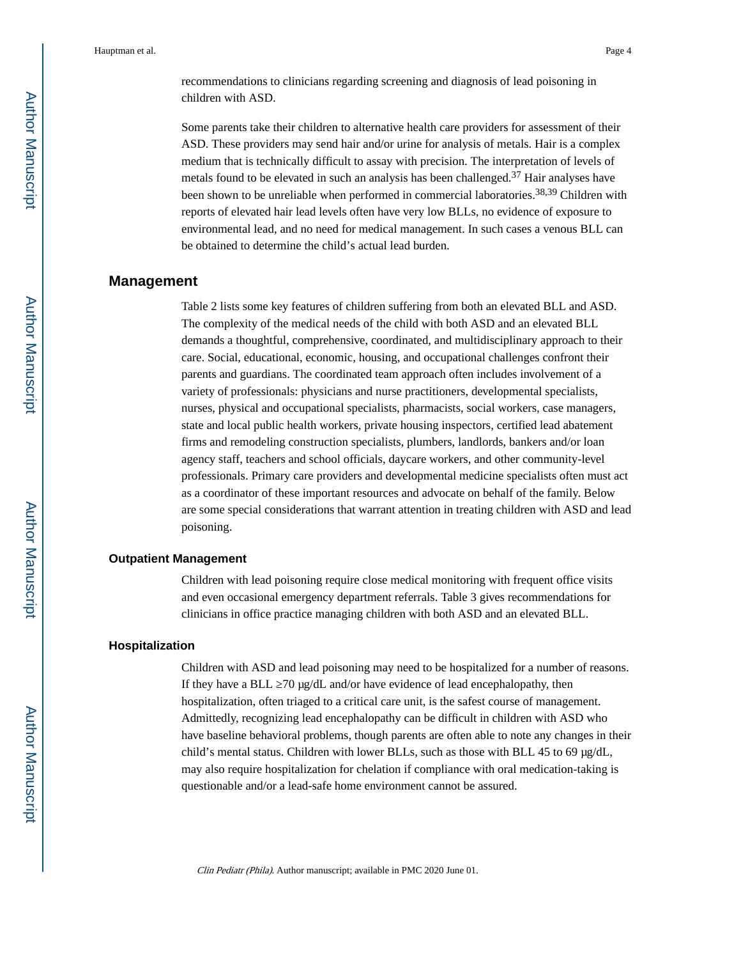recommendations to clinicians regarding screening and diagnosis of lead poisoning in children with ASD.

Some parents take their children to alternative health care providers for assessment of their ASD. These providers may send hair and/or urine for analysis of metals. Hair is a complex medium that is technically difficult to assay with precision. The interpretation of levels of metals found to be elevated in such an analysis has been challenged.37 Hair analyses have been shown to be unreliable when performed in commercial laboratories.<sup>38,39</sup> Children with reports of elevated hair lead levels often have very low BLLs, no evidence of exposure to environmental lead, and no need for medical management. In such cases a venous BLL can be obtained to determine the child's actual lead burden.

#### **Management**

Table 2 lists some key features of children suffering from both an elevated BLL and ASD. The complexity of the medical needs of the child with both ASD and an elevated BLL demands a thoughtful, comprehensive, coordinated, and multidisciplinary approach to their care. Social, educational, economic, housing, and occupational challenges confront their parents and guardians. The coordinated team approach often includes involvement of a variety of professionals: physicians and nurse practitioners, developmental specialists, nurses, physical and occupational specialists, pharmacists, social workers, case managers, state and local public health workers, private housing inspectors, certified lead abatement firms and remodeling construction specialists, plumbers, landlords, bankers and/or loan agency staff, teachers and school officials, daycare workers, and other community-level professionals. Primary care providers and developmental medicine specialists often must act as a coordinator of these important resources and advocate on behalf of the family. Below are some special considerations that warrant attention in treating children with ASD and lead poisoning.

#### **Outpatient Management**

Children with lead poisoning require close medical monitoring with frequent office visits and even occasional emergency department referrals. Table 3 gives recommendations for clinicians in office practice managing children with both ASD and an elevated BLL.

#### **Hospitalization**

Children with ASD and lead poisoning may need to be hospitalized for a number of reasons. If they have a BLL  $\frac{70 \text{ µg}}{\text{dL}}$  and/or have evidence of lead encephalopathy, then hospitalization, often triaged to a critical care unit, is the safest course of management. Admittedly, recognizing lead encephalopathy can be difficult in children with ASD who have baseline behavioral problems, though parents are often able to note any changes in their child's mental status. Children with lower BLLs, such as those with BLL 45 to 69 μg/dL, may also require hospitalization for chelation if compliance with oral medication-taking is questionable and/or a lead-safe home environment cannot be assured.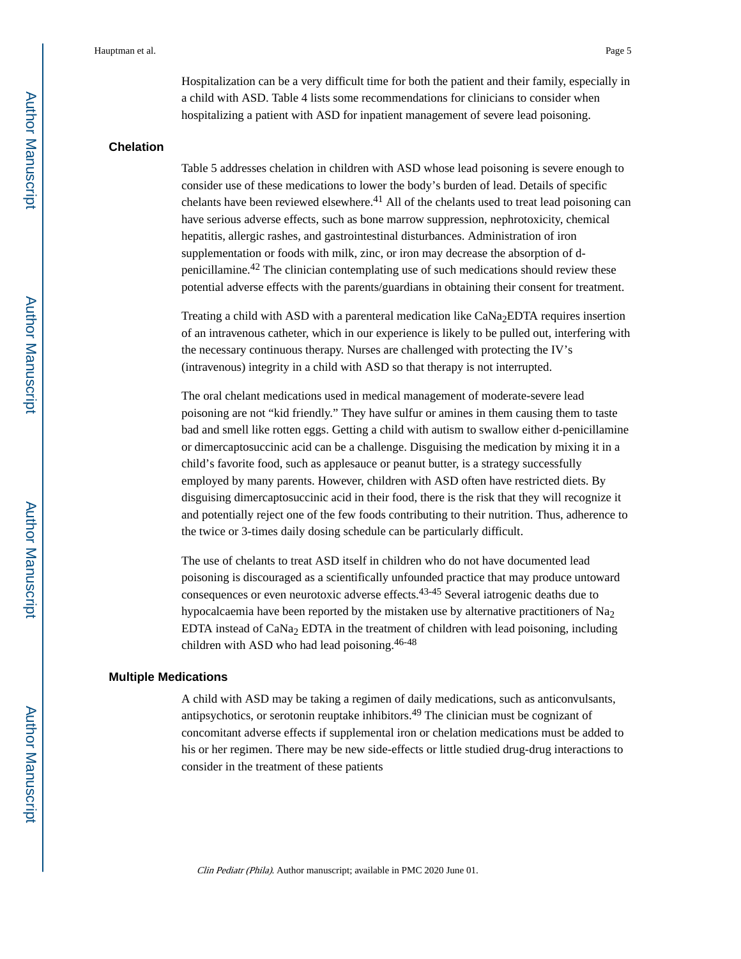Hospitalization can be a very difficult time for both the patient and their family, especially in a child with ASD. Table 4 lists some recommendations for clinicians to consider when hospitalizing a patient with ASD for inpatient management of severe lead poisoning.

#### **Chelation**

Table 5 addresses chelation in children with ASD whose lead poisoning is severe enough to consider use of these medications to lower the body's burden of lead. Details of specific chelants have been reviewed elsewhere.<sup>41</sup> All of the chelants used to treat lead poisoning can have serious adverse effects, such as bone marrow suppression, nephrotoxicity, chemical hepatitis, allergic rashes, and gastrointestinal disturbances. Administration of iron supplementation or foods with milk, zinc, or iron may decrease the absorption of dpenicillamine.<sup>42</sup> The clinician contemplating use of such medications should review these potential adverse effects with the parents/guardians in obtaining their consent for treatment.

Treating a child with ASD with a parenteral medication like  $CaNa<sub>2</sub>EDTA$  requires insertion of an intravenous catheter, which in our experience is likely to be pulled out, interfering with the necessary continuous therapy. Nurses are challenged with protecting the IV's (intravenous) integrity in a child with ASD so that therapy is not interrupted.

The oral chelant medications used in medical management of moderate-severe lead poisoning are not "kid friendly." They have sulfur or amines in them causing them to taste bad and smell like rotten eggs. Getting a child with autism to swallow either d-penicillamine or dimercaptosuccinic acid can be a challenge. Disguising the medication by mixing it in a child's favorite food, such as applesauce or peanut butter, is a strategy successfully employed by many parents. However, children with ASD often have restricted diets. By disguising dimercaptosuccinic acid in their food, there is the risk that they will recognize it and potentially reject one of the few foods contributing to their nutrition. Thus, adherence to the twice or 3-times daily dosing schedule can be particularly difficult.

The use of chelants to treat ASD itself in children who do not have documented lead poisoning is discouraged as a scientifically unfounded practice that may produce untoward consequences or even neurotoxic adverse effects.43-45 Several iatrogenic deaths due to hypocalcaemia have been reported by the mistaken use by alternative practitioners of Na<sub>2</sub> EDTA instead of  $CaNa<sub>2</sub>$  EDTA in the treatment of children with lead poisoning, including children with ASD who had lead poisoning.46-48

#### **Multiple Medications**

A child with ASD may be taking a regimen of daily medications, such as anticonvulsants, antipsychotics, or serotonin reuptake inhibitors.49 The clinician must be cognizant of concomitant adverse effects if supplemental iron or chelation medications must be added to his or her regimen. There may be new side-effects or little studied drug-drug interactions to consider in the treatment of these patients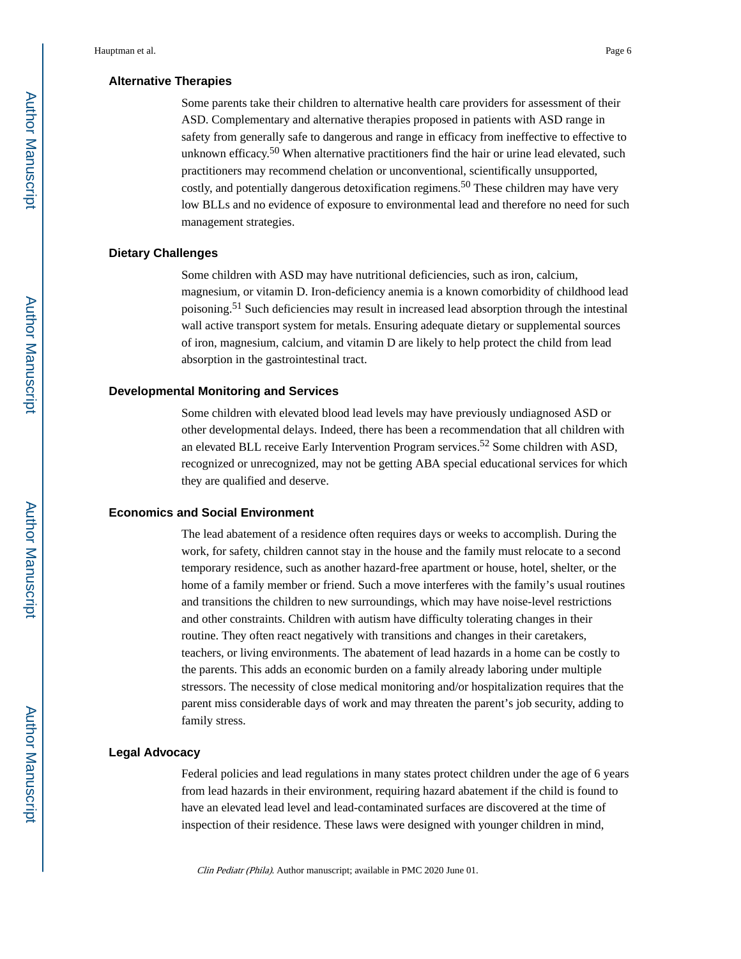#### **Alternative Therapies**

Some parents take their children to alternative health care providers for assessment of their ASD. Complementary and alternative therapies proposed in patients with ASD range in safety from generally safe to dangerous and range in efficacy from ineffective to effective to unknown efficacy.<sup>50</sup> When alternative practitioners find the hair or urine lead elevated, such practitioners may recommend chelation or unconventional, scientifically unsupported, costly, and potentially dangerous detoxification regimens.<sup>50</sup> These children may have very low BLLs and no evidence of exposure to environmental lead and therefore no need for such management strategies.

#### **Dietary Challenges**

Some children with ASD may have nutritional deficiencies, such as iron, calcium, magnesium, or vitamin D. Iron-deficiency anemia is a known comorbidity of childhood lead poisoning.51 Such deficiencies may result in increased lead absorption through the intestinal wall active transport system for metals. Ensuring adequate dietary or supplemental sources of iron, magnesium, calcium, and vitamin D are likely to help protect the child from lead absorption in the gastrointestinal tract.

#### **Developmental Monitoring and Services**

Some children with elevated blood lead levels may have previously undiagnosed ASD or other developmental delays. Indeed, there has been a recommendation that all children with an elevated BLL receive Early Intervention Program services.<sup>52</sup> Some children with ASD, recognized or unrecognized, may not be getting ABA special educational services for which they are qualified and deserve.

#### **Economics and Social Environment**

The lead abatement of a residence often requires days or weeks to accomplish. During the work, for safety, children cannot stay in the house and the family must relocate to a second temporary residence, such as another hazard-free apartment or house, hotel, shelter, or the home of a family member or friend. Such a move interferes with the family's usual routines and transitions the children to new surroundings, which may have noise-level restrictions and other constraints. Children with autism have difficulty tolerating changes in their routine. They often react negatively with transitions and changes in their caretakers, teachers, or living environments. The abatement of lead hazards in a home can be costly to the parents. This adds an economic burden on a family already laboring under multiple stressors. The necessity of close medical monitoring and/or hospitalization requires that the parent miss considerable days of work and may threaten the parent's job security, adding to family stress.

#### **Legal Advocacy**

Federal policies and lead regulations in many states protect children under the age of 6 years from lead hazards in their environment, requiring hazard abatement if the child is found to have an elevated lead level and lead-contaminated surfaces are discovered at the time of inspection of their residence. These laws were designed with younger children in mind,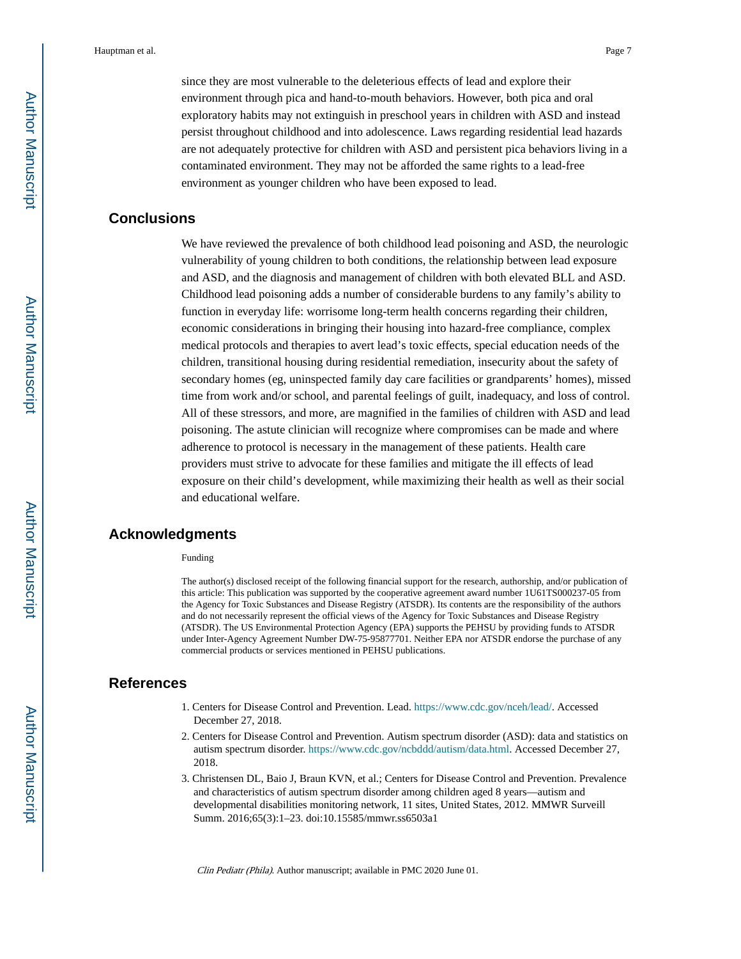since they are most vulnerable to the deleterious effects of lead and explore their environment through pica and hand-to-mouth behaviors. However, both pica and oral exploratory habits may not extinguish in preschool years in children with ASD and instead persist throughout childhood and into adolescence. Laws regarding residential lead hazards are not adequately protective for children with ASD and persistent pica behaviors living in a contaminated environment. They may not be afforded the same rights to a lead-free environment as younger children who have been exposed to lead.

#### **Conclusions**

We have reviewed the prevalence of both childhood lead poisoning and ASD, the neurologic vulnerability of young children to both conditions, the relationship between lead exposure and ASD, and the diagnosis and management of children with both elevated BLL and ASD. Childhood lead poisoning adds a number of considerable burdens to any family's ability to function in everyday life: worrisome long-term health concerns regarding their children, economic considerations in bringing their housing into hazard-free compliance, complex medical protocols and therapies to avert lead's toxic effects, special education needs of the children, transitional housing during residential remediation, insecurity about the safety of secondary homes (eg, uninspected family day care facilities or grandparents' homes), missed time from work and/or school, and parental feelings of guilt, inadequacy, and loss of control. All of these stressors, and more, are magnified in the families of children with ASD and lead poisoning. The astute clinician will recognize where compromises can be made and where adherence to protocol is necessary in the management of these patients. Health care providers must strive to advocate for these families and mitigate the ill effects of lead exposure on their child's development, while maximizing their health as well as their social and educational welfare.

#### **Acknowledgments**

#### Funding

The author(s) disclosed receipt of the following financial support for the research, authorship, and/or publication of this article: This publication was supported by the cooperative agreement award number 1U61TS000237-05 from the Agency for Toxic Substances and Disease Registry (ATSDR). Its contents are the responsibility of the authors and do not necessarily represent the official views of the Agency for Toxic Substances and Disease Registry (ATSDR). The US Environmental Protection Agency (EPA) supports the PEHSU by providing funds to ATSDR under Inter-Agency Agreement Number DW-75-95877701. Neither EPA nor ATSDR endorse the purchase of any commercial products or services mentioned in PEHSU publications.

#### **References**

- 1. Centers for Disease Control and Prevention. Lead.<https://www.cdc.gov/nceh/lead/>. Accessed December 27, 2018.
- 2. Centers for Disease Control and Prevention. Autism spectrum disorder (ASD): data and statistics on autism spectrum disorder. <https://www.cdc.gov/ncbddd/autism/data.html>. Accessed December 27, 2018.
- 3. Christensen DL, Baio J, Braun KVN, et al.; Centers for Disease Control and Prevention. Prevalence and characteristics of autism spectrum disorder among children aged 8 years—autism and developmental disabilities monitoring network, 11 sites, United States, 2012. MMWR Surveill Summ. 2016;65(3):1–23. doi:10.15585/mmwr.ss6503a1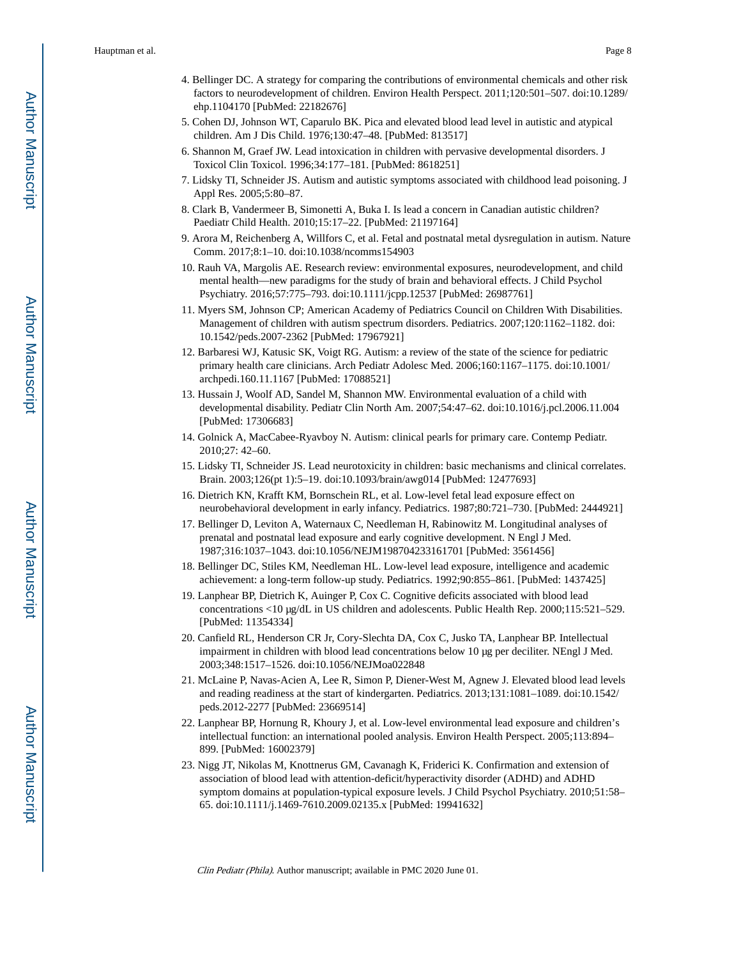Hauptman et al. Page 8

- 4. Bellinger DC. A strategy for comparing the contributions of environmental chemicals and other risk factors to neurodevelopment of children. Environ Health Perspect. 2011;120:501–507. doi:10.1289/ ehp.1104170 [PubMed: 22182676]
- 5. Cohen DJ, Johnson WT, Caparulo BK. Pica and elevated blood lead level in autistic and atypical children. Am J Dis Child. 1976;130:47–48. [PubMed: 813517]
- 6. Shannon M, Graef JW. Lead intoxication in children with pervasive developmental disorders. J Toxicol Clin Toxicol. 1996;34:177–181. [PubMed: 8618251]
- 7. Lidsky TI, Schneider JS. Autism and autistic symptoms associated with childhood lead poisoning. J Appl Res. 2005;5:80–87.
- 8. Clark B, Vandermeer B, Simonetti A, Buka I. Is lead a concern in Canadian autistic children? Paediatr Child Health. 2010;15:17–22. [PubMed: 21197164]
- 9. Arora M, Reichenberg A, Willfors C, et al. Fetal and postnatal metal dysregulation in autism. Nature Comm. 2017;8:1–10. doi:10.1038/ncomms154903
- 10. Rauh VA, Margolis AE. Research review: environmental exposures, neurodevelopment, and child mental health—new paradigms for the study of brain and behavioral effects. J Child Psychol Psychiatry. 2016;57:775–793. doi:10.1111/jcpp.12537 [PubMed: 26987761]
- 11. Myers SM, Johnson CP; American Academy of Pediatrics Council on Children With Disabilities. Management of children with autism spectrum disorders. Pediatrics. 2007;120:1162–1182. doi: 10.1542/peds.2007-2362 [PubMed: 17967921]
- 12. Barbaresi WJ, Katusic SK, Voigt RG. Autism: a review of the state of the science for pediatric primary health care clinicians. Arch Pediatr Adolesc Med. 2006;160:1167–1175. doi:10.1001/ archpedi.160.11.1167 [PubMed: 17088521]
- 13. Hussain J, Woolf AD, Sandel M, Shannon MW. Environmental evaluation of a child with developmental disability. Pediatr Clin North Am. 2007;54:47–62. doi:10.1016/j.pcl.2006.11.004 [PubMed: 17306683]
- 14. Golnick A, MacCabee-Ryavboy N. Autism: clinical pearls for primary care. Contemp Pediatr. 2010;27: 42–60.
- 15. Lidsky TI, Schneider JS. Lead neurotoxicity in children: basic mechanisms and clinical correlates. Brain. 2003;126(pt 1):5–19. doi:10.1093/brain/awg014 [PubMed: 12477693]
- 16. Dietrich KN, Krafft KM, Bornschein RL, et al. Low-level fetal lead exposure effect on neurobehavioral development in early infancy. Pediatrics. 1987;80:721–730. [PubMed: 2444921]
- 17. Bellinger D, Leviton A, Waternaux C, Needleman H, Rabinowitz M. Longitudinal analyses of prenatal and postnatal lead exposure and early cognitive development. N Engl J Med. 1987;316:1037–1043. doi:10.1056/NEJM198704233161701 [PubMed: 3561456]
- 18. Bellinger DC, Stiles KM, Needleman HL. Low-level lead exposure, intelligence and academic achievement: a long-term follow-up study. Pediatrics. 1992;90:855–861. [PubMed: 1437425]
- 19. Lanphear BP, Dietrich K, Auinger P, Cox C. Cognitive deficits associated with blood lead concentrations <10 μg/dL in US children and adolescents. Public Health Rep. 2000;115:521–529. [PubMed: 11354334]
- 20. Canfield RL, Henderson CR Jr, Cory-Slechta DA, Cox C, Jusko TA, Lanphear BP. Intellectual impairment in children with blood lead concentrations below 10 μg per deciliter. NEngl J Med. 2003;348:1517–1526. doi:10.1056/NEJMoa022848
- 21. McLaine P, Navas-Acien A, Lee R, Simon P, Diener-West M, Agnew J. Elevated blood lead levels and reading readiness at the start of kindergarten. Pediatrics. 2013;131:1081–1089. doi:10.1542/ peds.2012-2277 [PubMed: 23669514]
- 22. Lanphear BP, Hornung R, Khoury J, et al. Low-level environmental lead exposure and children's intellectual function: an international pooled analysis. Environ Health Perspect. 2005;113:894– 899. [PubMed: 16002379]
- 23. Nigg JT, Nikolas M, Knottnerus GM, Cavanagh K, Friderici K. Confirmation and extension of association of blood lead with attention-deficit/hyperactivity disorder (ADHD) and ADHD symptom domains at population-typical exposure levels. J Child Psychol Psychiatry. 2010;51:58-65. doi:10.1111/j.1469-7610.2009.02135.x [PubMed: 19941632]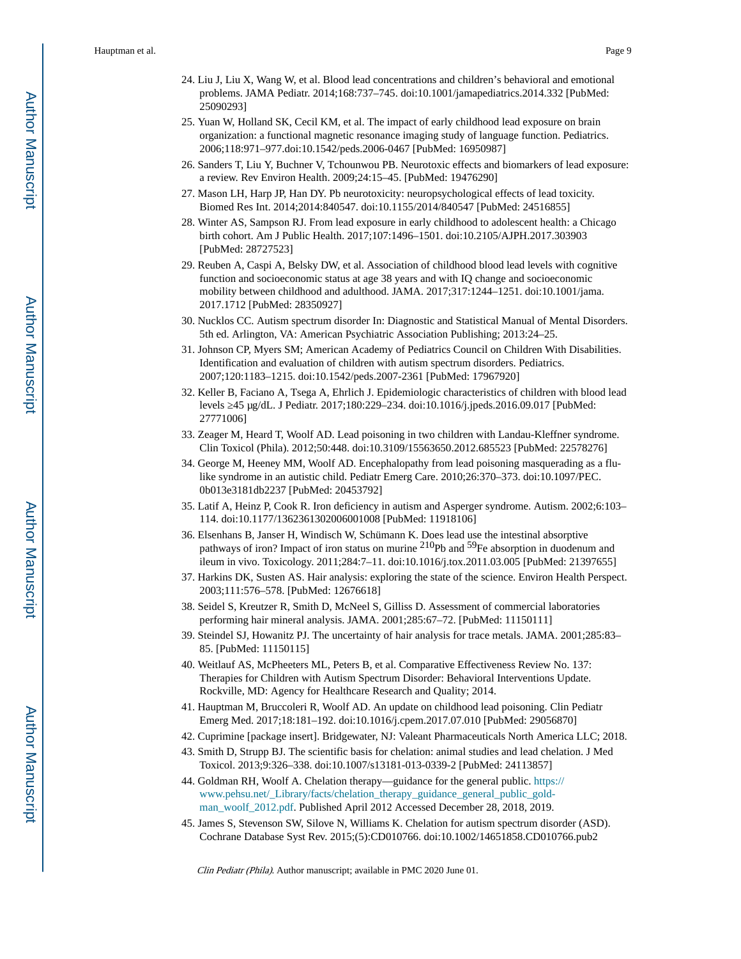- 24. Liu J, Liu X, Wang W, et al. Blood lead concentrations and children's behavioral and emotional problems. JAMA Pediatr. 2014;168:737–745. doi:10.1001/jamapediatrics.2014.332 [PubMed: 25090293]
- 25. Yuan W, Holland SK, Cecil KM, et al. The impact of early childhood lead exposure on brain organization: a functional magnetic resonance imaging study of language function. Pediatrics. 2006;118:971–977.doi:10.1542/peds.2006-0467 [PubMed: 16950987]
- 26. Sanders T, Liu Y, Buchner V, Tchounwou PB. Neurotoxic effects and biomarkers of lead exposure: a review. Rev Environ Health. 2009;24:15–45. [PubMed: 19476290]
- 27. Mason LH, Harp JP, Han DY. Pb neurotoxicity: neuropsychological effects of lead toxicity. Biomed Res Int. 2014;2014:840547. doi:10.1155/2014/840547 [PubMed: 24516855]
- 28. Winter AS, Sampson RJ. From lead exposure in early childhood to adolescent health: a Chicago birth cohort. Am J Public Health. 2017;107:1496–1501. doi:10.2105/AJPH.2017.303903 [PubMed: 28727523]
- 29. Reuben A, Caspi A, Belsky DW, et al. Association of childhood blood lead levels with cognitive function and socioeconomic status at age 38 years and with IQ change and socioeconomic mobility between childhood and adulthood. JAMA. 2017;317:1244–1251. doi:10.1001/jama. 2017.1712 [PubMed: 28350927]
- 30. Nucklos CC. Autism spectrum disorder In: Diagnostic and Statistical Manual of Mental Disorders. 5th ed. Arlington, VA: American Psychiatric Association Publishing; 2013:24–25.
- 31. Johnson CP, Myers SM; American Academy of Pediatrics Council on Children With Disabilities. Identification and evaluation of children with autism spectrum disorders. Pediatrics. 2007;120:1183–1215. doi:10.1542/peds.2007-2361 [PubMed: 17967920]
- 32. Keller B, Faciano A, Tsega A, Ehrlich J. Epidemiologic characteristics of children with blood lead levels ≥45 μg/dL. J Pediatr. 2017;180:229–234. doi:10.1016/j.jpeds.2016.09.017 [PubMed: 27771006]
- 33. Zeager M, Heard T, Woolf AD. Lead poisoning in two children with Landau-Kleffner syndrome. Clin Toxicol (Phila). 2012;50:448. doi:10.3109/15563650.2012.685523 [PubMed: 22578276]
- 34. George M, Heeney MM, Woolf AD. Encephalopathy from lead poisoning masquerading as a flulike syndrome in an autistic child. Pediatr Emerg Care. 2010;26:370–373. doi:10.1097/PEC. 0b013e3181db2237 [PubMed: 20453792]
- 35. Latif A, Heinz P, Cook R. Iron deficiency in autism and Asperger syndrome. Autism. 2002;6:103– 114. doi:10.1177/1362361302006001008 [PubMed: 11918106]
- 36. Elsenhans B, Janser H, Windisch W, Schümann K. Does lead use the intestinal absorptive pathways of iron? Impact of iron status on murine <sup>210</sup>Pb and <sup>59</sup>Fe absorption in duodenum and ileum in vivo. Toxicology. 2011;284:7–11. doi:10.1016/j.tox.2011.03.005 [PubMed: 21397655]
- 37. Harkins DK, Susten AS. Hair analysis: exploring the state of the science. Environ Health Perspect. 2003;111:576–578. [PubMed: 12676618]
- 38. Seidel S, Kreutzer R, Smith D, McNeel S, Gilliss D. Assessment of commercial laboratories performing hair mineral analysis. JAMA. 2001;285:67–72. [PubMed: 11150111]
- 39. Steindel SJ, Howanitz PJ. The uncertainty of hair analysis for trace metals. JAMA. 2001;285:83– 85. [PubMed: 11150115]
- 40. Weitlauf AS, McPheeters ML, Peters B, et al. Comparative Effectiveness Review No. 137: Therapies for Children with Autism Spectrum Disorder: Behavioral Interventions Update. Rockville, MD: Agency for Healthcare Research and Quality; 2014.
- 41. Hauptman M, Bruccoleri R, Woolf AD. An update on childhood lead poisoning. Clin Pediatr Emerg Med. 2017;18:181–192. doi:10.1016/j.cpem.2017.07.010 [PubMed: 29056870]
- 42. Cuprimine [package insert]. Bridgewater, NJ: Valeant Pharmaceuticals North America LLC; 2018.
- 43. Smith D, Strupp BJ. The scientific basis for chelation: animal studies and lead chelation. J Med Toxicol. 2013;9:326–338. doi:10.1007/s13181-013-0339-2 [PubMed: 24113857]
- 44. Goldman RH, Woolf A. Chelation therapy—guidance for the general public. [https://](https://www.pehsu.net/_Library/facts/chelation_therapy_guidance_general_public_gold-man_woolf_2012.pdf) [www.pehsu.net/\\_Library/facts/chelation\\_therapy\\_guidance\\_general\\_public\\_gold](https://www.pehsu.net/_Library/facts/chelation_therapy_guidance_general_public_gold-man_woolf_2012.pdf)[man\\_woolf\\_2012.pdf.](https://www.pehsu.net/_Library/facts/chelation_therapy_guidance_general_public_gold-man_woolf_2012.pdf) Published April 2012 Accessed December 28, 2018, 2019.
- 45. James S, Stevenson SW, Silove N, Williams K. Chelation for autism spectrum disorder (ASD). Cochrane Database Syst Rev. 2015;(5):CD010766. doi:10.1002/14651858.CD010766.pub2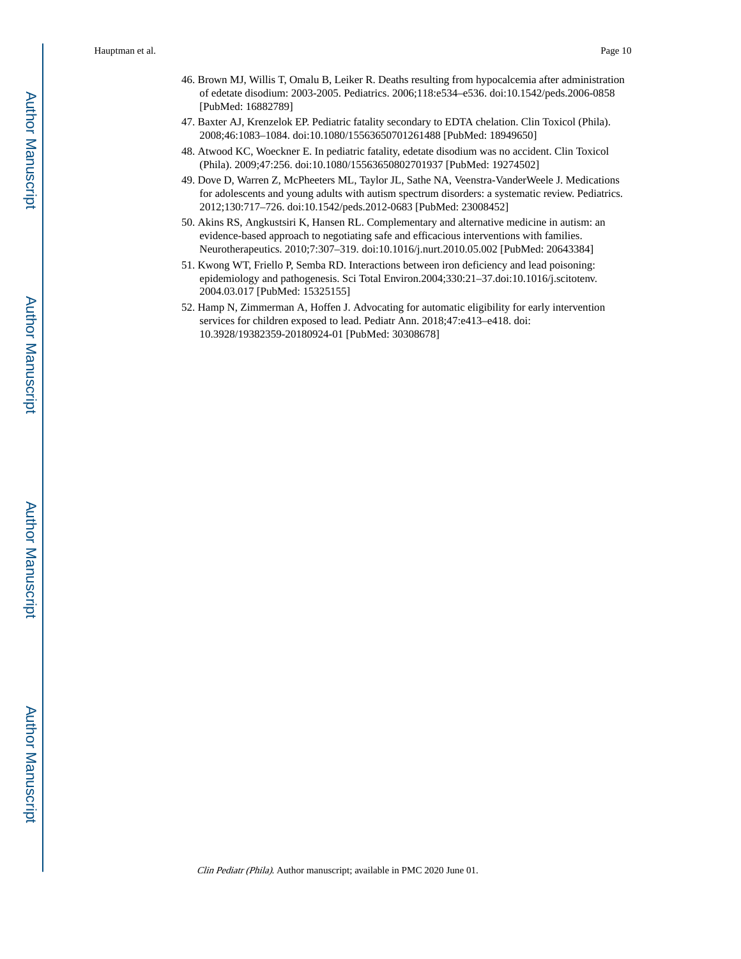Hauptman et al. Page 10

- 46. Brown MJ, Willis T, Omalu B, Leiker R. Deaths resulting from hypocalcemia after administration of edetate disodium: 2003-2005. Pediatrics. 2006;118:e534–e536. doi:10.1542/peds.2006-0858 [PubMed: 16882789]
- 47. Baxter AJ, Krenzelok EP. Pediatric fatality secondary to EDTA chelation. Clin Toxicol (Phila). 2008;46:1083–1084. doi:10.1080/15563650701261488 [PubMed: 18949650]
- 48. Atwood KC, Woeckner E. In pediatric fatality, edetate disodium was no accident. Clin Toxicol (Phila). 2009;47:256. doi:10.1080/15563650802701937 [PubMed: 19274502]
- 49. Dove D, Warren Z, McPheeters ML, Taylor JL, Sathe NA, Veenstra-VanderWeele J. Medications for adolescents and young adults with autism spectrum disorders: a systematic review. Pediatrics. 2012;130:717–726. doi:10.1542/peds.2012-0683 [PubMed: 23008452]
- 50. Akins RS, Angkustsiri K, Hansen RL. Complementary and alternative medicine in autism: an evidence-based approach to negotiating safe and efficacious interventions with families. Neurotherapeutics. 2010;7:307–319. doi:10.1016/j.nurt.2010.05.002 [PubMed: 20643384]
- 51. Kwong WT, Friello P, Semba RD. Interactions between iron deficiency and lead poisoning: epidemiology and pathogenesis. Sci Total Environ.2004;330:21–37.doi:10.1016/j.scitotenv. 2004.03.017 [PubMed: 15325155]
- 52. Hamp N, Zimmerman A, Hoffen J. Advocating for automatic eligibility for early intervention services for children exposed to lead. Pediatr Ann. 2018;47:e413–e418. doi: 10.3928/19382359-20180924-01 [PubMed: 30308678]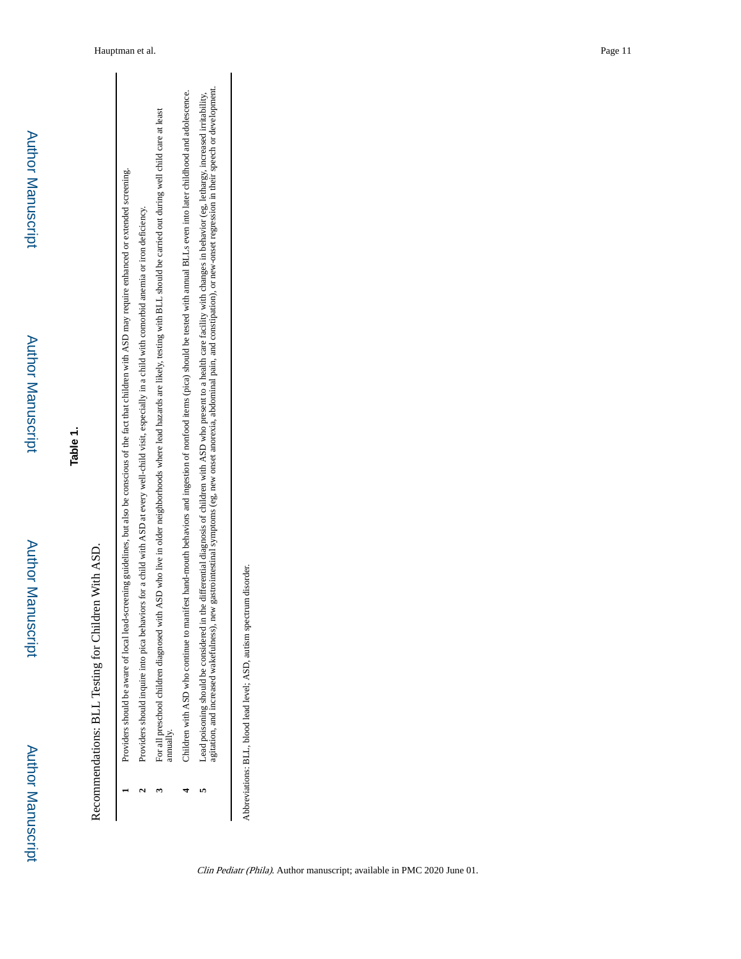Author Manuscript

**Author Manuscript** 

## **Table 1.**

Recommendations: BLL Testing for Children With ASD. Recommendations: BLL Testing for Children With ASD.

- Providers should be aware of local lead-screening guidelines, but also be conscious of the fact that children with ASD may require enhanced or extended screening. Providers should be aware of local lead-screening guidelines, but also be conscious of the fact that children with ASD may require enhanced or extended screening. **1**
- Providers should inquire into pica behaviors for a child with ASD at every well-child visit, especially in a child with comorbid anemia or iron deficiency. Providers should inquire into pica behaviors for a child with ASD at every well-child visit, especially in a child with comorbid anemia or iron deficiency.

 $\alpha$ 

- For all preschool children diagnosed with ASD who live in older neighborhoods where lead hazards are likely, testing with BLL should be carried out during well child care at least For all preschool children diagnosed with ASD who live in older neighborhoods where lead hazards are likely, testing with BLL should be carried out during well child care at least annually. **3**
- Children with ASD who continue to manifest hand-mouth behaviors and ingestion of nonfood items (pica) should be tested with annual BLLs even into later childhood and adolescence. Children with ASD who continue to manifest hand-mouth behaviors and ingestion of nonfood items (pica) should be tested with annual BLLs even into later childhood and adolescence. **4**
- Lead poisoning should be considered in the differential diagnosis of children with ASD who present to a health care facility with changes in behavior (eg. lethargy, increased irritability,<br>agitation, and increased wakefuln agitation, and increased wakefulness), new gastrointestinal symptoms (eg, new onset anorexia, abdominal pain, and constipation), or new-onset regression in their speech or development. Lead poisoning should be considered in the differential diagnosis of children with ASD who present to a health care facility with changes in behavior (eg, lethargy, increased irritability, **5**

Abbreviations: BLL, blood lead level; ASD, autism spectrum disorder. Abbreviations: BLL, blood lead level; ASD, autism spectrum disorder.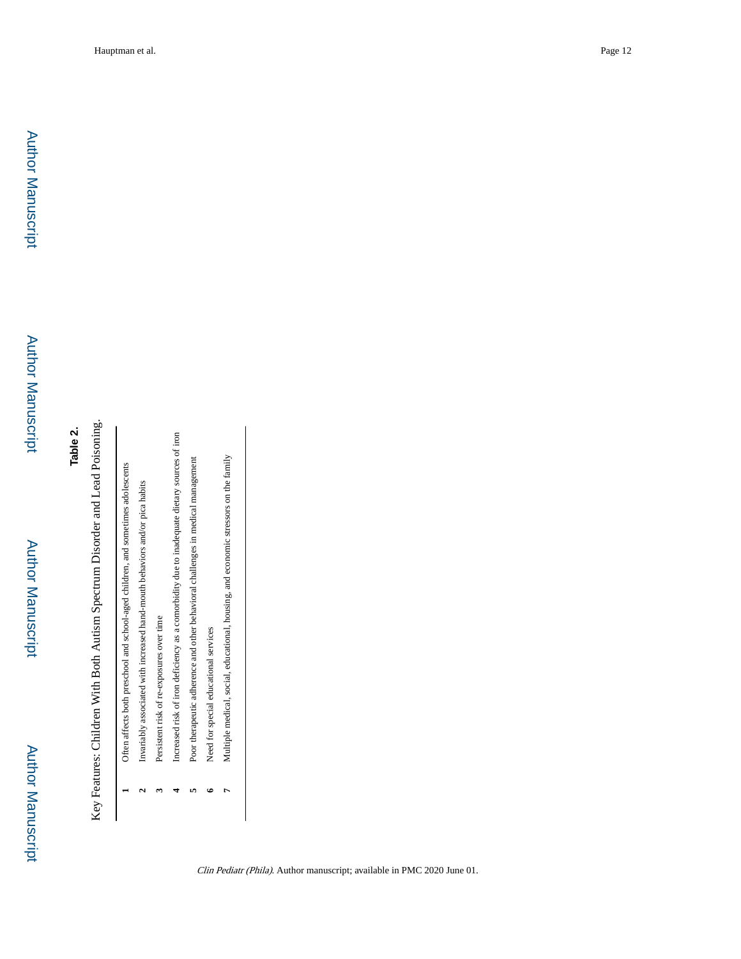- Often affects both preschool and school-aged children, and sometimes adolescents Often affects both preschool and school-aged children, and sometimes adolescents **1**
- Invariably associated with increased hand-mouth behaviors and/or pica habits Invariably associated with increased hand-mouth behaviors and/or pica habits  $\sim$
- Persistent risk of re-exposures over time Persistent risk of re-exposures over time **3**
- Increased risk of iron deficiency as a comorbidity due to inadequate dietary sources of iron Increased risk of iron deficiency as a comorbidity due to inadequate dietary sources of iron **4**
- Poor therapeutic adherence and other behavioral challenges in medical management Poor therapeutic adherence and other behavioral challenges in medical management **5**
- Need for special educational services Need for special educational services **6**
- Multiple medical, social, educational, housing, and economic stressors on the family Multiple medical, social, educational, housing, and economic stressors on the family **7**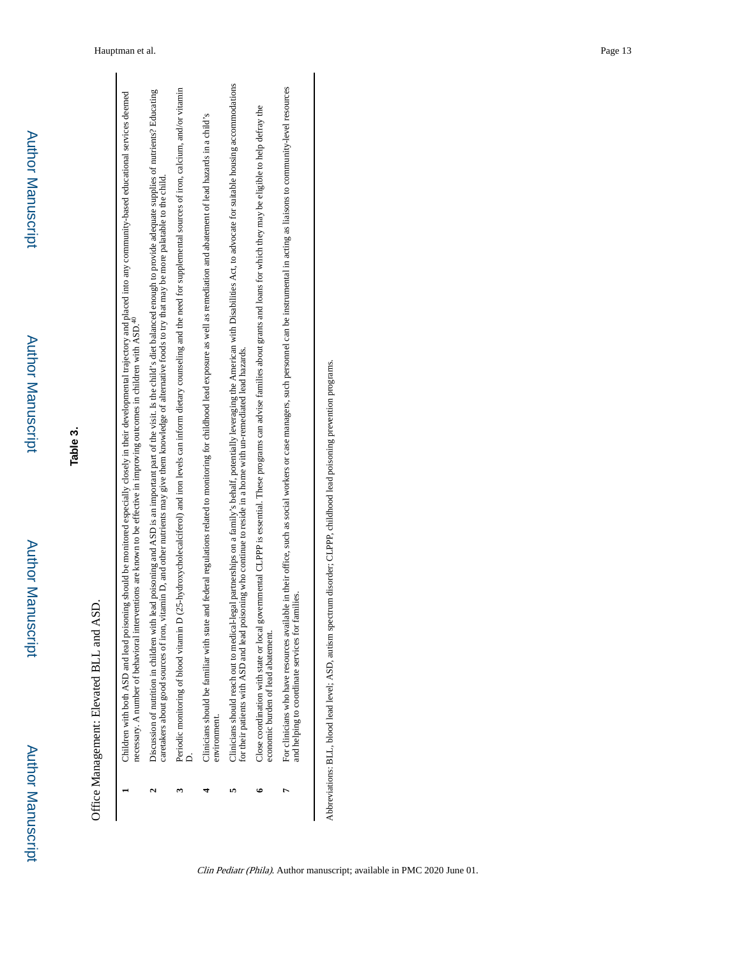| ī |
|---|
|   |
|   |
| í |
|   |
|   |
|   |
|   |
|   |
|   |
|   |
|   |
|   |
|   |
|   |
|   |
|   |
|   |
|   |
|   |
|   |
|   |
|   |
|   |
|   |
|   |
|   |
|   |
|   |
|   |
|   |

# **Table 3.**

# Office Management: Elevated BLL and ASD. Office Management: Elevated BLL and ASD.

| ì<br>$\overline{a}$<br>١<br>Ì<br>ł<br>ì<br>t<br>Í<br>ׇ֦֘֡<br>١<br>l<br>l<br>i<br>١<br>ׇ֘֒<br>ׇ֘֒<br>֧֧֧֧֧֧֧֦֧֧֦֧֧֦֧֧֧֦֧֧֧֦֧֧֦֧֧֦֧֧֧֧֚֚֚֚֚֚֚֚֚֚֚֚֚֚֚֚֚֚֚֚֚֚֚֚֚֚֚֚֚֚֚֚֝֝֝֓֝֓֝֓֓֓֓֓֞֓֞<br>Ï<br>j<br>١<br>١<br>i<br>j<br>Π<br>ì<br>Ï<br>١<br>Į<br>i<br>j<br>j<br>١<br>١<br>www.com<br>in HT<br>i<br>l | ļ<br>֕<br>I<br>֖֖֖֖֖֖֧֪ׅ֖֧֪֪֪֪֪֪֪֪֪֪ׅ֖֚֚֚֚֚֚֚֚֚֚֚֚֚֚֚֚֚֚֚֚֚֚֚֚֚֚֚֚֚֚֚֡֝֓֝֓֞<br>ł<br>ì<br>i<br>ξ<br>g<br>ļ<br>i<br><b>Thank</b><br>j<br>Š |
|---------------------------------------------------------------------------------------------------------------------------------------------------------------------------------------------------------------------------------------------------------------------------------------------------|------------------------------------------------------------------------------------------------------------------------------------------|
|---------------------------------------------------------------------------------------------------------------------------------------------------------------------------------------------------------------------------------------------------------------------------------------------------|------------------------------------------------------------------------------------------------------------------------------------------|

- Discussion of nutrition in children with lead poisoning and ASD is an important part of the visit. Is the child's diet balanced enough to provide adequate supplies of nutrients? Educating Discussion of nutrition in children with lead poisoning and ASD is an important part of the visit. Is the child's diet balanced enough to provide adequate supplies of nutrients? Educating<br>caretakers about good sources of i caretakers about good sources of iron, vitamin D, and other nutrients may give them knowledge of alternative foods to try that may be more palatable to the child.  $\overline{2}$
- Periodic monitoring of blood vitamin D (25-hydroxycholecalciferol) and iron levels can inform dietary counseling and the need for supplemental sources of iron, calcium, and/or vitamin Periodic monitoring of blood vitamin D (25-hydroxycholecalciferol) and iron levels can inform dietary counseling and the need for supplemental sources of iron, calcium, and/or vitamin  $\Delta$ **3**
- Clinicians should be familiar with state and federal regulations related to monitoring for childhood lead exposure as well as remediation and abatement of lead hazards in a child's Clinicians should be familiar with state and federal regulations related to monitoring for childhood lead exposure as well as remediation and abatement of lead hazards in a child's environment. environment **4**
- Clinicians should reach out to medical-legal partnerships on a family's behalf, potentially leveraging the American with Disabilities Act, to advocate for suitable housing accommodations Clinicians should reach out to medical-legal partnerships on a family's behalf, potentially leveraging the American with Disabilities Act, to advocate for suitable housing accommodations for their patients with ASD and lead poisoning who continue to reside in a home with un-remediated lead hazards. for their patients with ASD and lead poisoning who continue to reside in a home with un-remediated lead hazards. **5**
- Close coordination with state or local governmental CLPPP is essential. These programs can advise families about grants and loans for which they may be eligible to help defray the Close coordination with state or local governmental CLPPP is essential. These programs can advise families about grants and loans for which they may be eligible to help defray the economic burden of lead abatement. economic burden of lead abatement **6**
- For clinicians who have resources available in their office, such as social workers or case managers, such personnel can be instrumental in acting as liaisons to community-level resources For clinicians who have resources available in their office, such as social workers or case managers, such personnel can be instrumental in acting as liaisons to community-level resources<br>and helping to coordinate services and helping to coordinate services for families. **7**

Abbreviations: BLL, blood lead level; ASD, autism spectrum disorder; CLPPP, childhood lead poisoning prevention programs. Abbreviations: BLL, blood lead level; ASD, autism spectrum disorder; CLPPP, childhood lead poisoning prevention programs.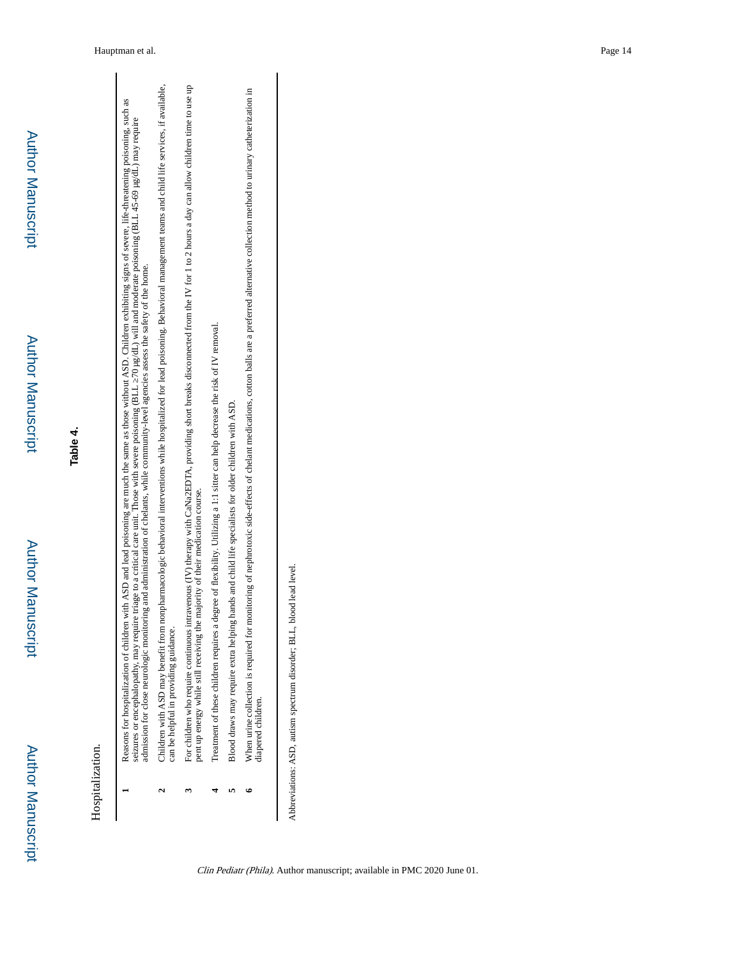Author Manuscript

**Author Manuscript** 

## **Table 4.**

## Hospitalization. Hospitalization.

Reasons for hospitalization of children with ASD and lead poisoning are much the same as those without ASD. Children exhibiting signs of severe, life-threatening poisoning, such as<br>seizures or encephalopathy, may require t Reasons for hospitalization of children with ASD and lead poisoning are much the same as those without ASD. Children exhibiting signs of severe, life-threatening poisoning, such as seizures or encephalopathy, may require triage to a critical care unit. Those with severe poisoning (BLL) will and moderate poisoning (BLL 45-69 μg/dL) may require admission for close neurologic monitoring and administration of chelants, while community-level agencies assess the safety of the home. **1**

- Children with ASD may benefit from nonpharmacologic behavioral interventions while hospitalized for lead poisoning. Behavioral management teams and child life services, if available, Children with ASD may benefit from nonpharmacologic behavioral interventions while hospitalized for lead poisoning. Behavioral management teams and child life services, if available, can be helpful in providing guidance. can be helpful in providing guidance.  $\overline{2}$
- For children who require continuous intravenous (IV) therapy with CaNa2EDTA, providing short breaks disconnected from the IV for 1 to 2 hours a day can allow children time to use up<br>pent up energy while still receiving the For children who require continuous intravenous (IV) therapy with CaNa2EDTA, providing short breaks disconnected from the IV for 1 to 2 hours a day can allow children time to use up pent up energy while still receiving the majority of their medication course. **3**
	- Treatment of these children requires a degree of flexibility. Utilizing a 1:1 sitter can help decrease the risk of IV removal. **4**
		- Treatment of these children requires a degree of flexibility. Utilizing a 1:1 sitter can help decrease the risk of IV removal.
			- Blood draws may require extra helping hands and child life specialists for older children with ASD. Blood draws may require extra helping hands and child life specialists for older children with ASD. **5**
- When urine collection is required for monitoring of nephrotoxic side-effects of chelant medications, cotton balls are a preferred alternative collection method to urinary catheterization in When urine collection is required for monitoring of nephrotoxic side-effects of chelant medications, cotton balls are a preferred alternative collection method to urinary catheterization in diapered children. diapered children. **6**

Abbreviations: ASD, autism spectrum disorder; BLL, blood lead level. Abbreviations: ASD, autism spectrum disorder; BLL, blood lead level